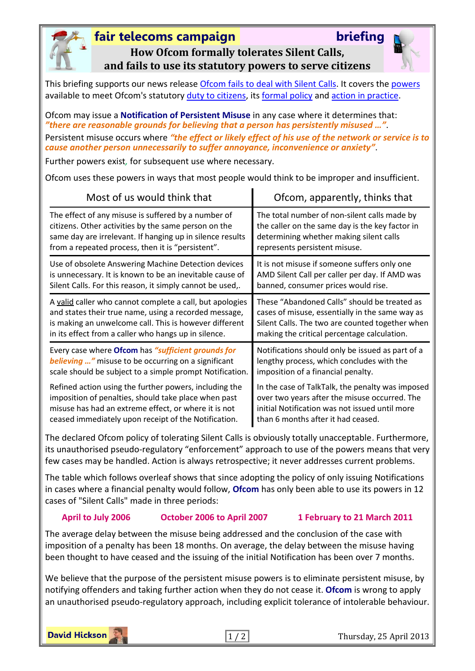

### **fair telecoms campai[g](http://fairtelecoms.org.uk/blog.html)n briefing**



**How Ofcom formally tolerates Silent Calls, and fails to use its statutory powers to serve citizens**

This briefing supports our news releas[e Ofcom fails to deal with Silent Calls.](http://www.fairtelecoms.org.uk/uploads/1/1/4/5/11456053/ofcom_fails_mr.pdf) It covers the [powers](http://www.legislation.gov.uk/ukpga/2003/21/part/2/chapter/1/crossheading/persistent-misuse-of-network-or-service) available to meet Ofcom's statutory [duty to citizens,](http://www.legislation.gov.uk/ukpga/2003/21/section/3) its [formal policy](file:///C:/Users/DH/Documents/stakeholders.ofcom.org.uk/binaries/consultations/silentcalls/statement/silentcalls.pdf%23page=50) and [action in practice.](http://stakeholders.ofcom.org.uk/enforcement/competition-bulletins/open-cases/all-open-cases/cw_905/?utm_source=updates&utm_medium=email&utm_campaign=cw_905)

Ofcom may issue a **Notification of Persistent Misuse** in any case where it determines that: *"there are reasonable grounds for believing that a person has persistently misused …"*.

Persistent misuse occurs where *"the effect or likely effect of his use of the network or service is to cause another person unnecessarily to suffer annoyance, inconvenience or anxiety"*.

Further powers exist*,* for subsequent use where necessary.

Ofcom uses these powers in ways that most people would think to be improper and insufficient.

| Most of us would think that                                | Ofcom, apparently, thinks that                   |  |  |  |
|------------------------------------------------------------|--------------------------------------------------|--|--|--|
| The effect of any misuse is suffered by a number of        | The total number of non-silent calls made by     |  |  |  |
| citizens. Other activities by the same person on the       | the caller on the same day is the key factor in  |  |  |  |
| same day are irrelevant. If hanging up in silence results  | determining whether making silent calls          |  |  |  |
| from a repeated process, then it is "persistent".          | represents persistent misuse.                    |  |  |  |
| Use of obsolete Answering Machine Detection devices        | It is not misuse if someone suffers only one     |  |  |  |
| is unnecessary. It is known to be an inevitable cause of   | AMD Silent Call per caller per day. If AMD was   |  |  |  |
| Silent Calls. For this reason, it simply cannot be used,.  | banned, consumer prices would rise.              |  |  |  |
| A valid caller who cannot complete a call, but apologies   | These "Abandoned Calls" should be treated as     |  |  |  |
| and states their true name, using a recorded message,      | cases of misuse, essentially in the same way as  |  |  |  |
| is making an unwelcome call. This is however different     | Silent Calls. The two are counted together when  |  |  |  |
| in its effect from a caller who hangs up in silence.       | making the critical percentage calculation.      |  |  |  |
| Every case where Ofcom has "sufficient grounds for         | Notifications should only be issued as part of a |  |  |  |
| <b>believing</b> " misuse to be occurring on a significant | lengthy process, which concludes with the        |  |  |  |
| scale should be subject to a simple prompt Notification.   | imposition of a financial penalty.               |  |  |  |
| Refined action using the further powers, including the     | In the case of TalkTalk, the penalty was imposed |  |  |  |
| imposition of penalties, should take place when past       | over two years after the misuse occurred. The    |  |  |  |
| misuse has had an extreme effect, or where it is not       | initial Notification was not issued until more   |  |  |  |
| ceased immediately upon receipt of the Notification.       | than 6 months after it had ceased.               |  |  |  |

The declared Ofcom policy of tolerating Silent Calls is obviously totally unacceptable. Furthermore, its unauthorised pseudo-regulatory "enforcement" approach to use of the powers means that very few cases may be handled. Action is always retrospective; it never addresses current problems.

The table which follows overleaf shows that since adopting the policy of only issuing Notifications in cases where a financial penalty would follow, **Ofcom** has only been able to use its powers in 12 cases of "Silent Calls" made in three periods:

### **April to July 2006 October 2006 to April 2007 1 February to 21 March 2011**

The average delay between the misuse being addressed and the conclusion of the case with imposition of a penalty has been 18 months. On average, the delay between the misuse having been thought to have ceased and the issuing of the initial Notification has been over 7 months.

We believe that the purpose of the persistent misuse powers is to eliminate persistent misuse, by notifying offenders and taking further action when they do not cease it. **Ofcom** is wrong to apply an unauthorised pseudo-regulatory approach, including explicit tolerance of intolerable behaviour.

**David Hickson**